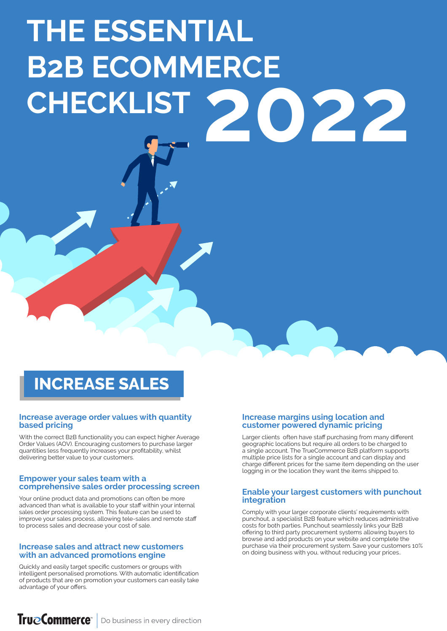# **THE ESSENTIAL B2B ECOMMERCE CHECKLIST 2022**

# **INCREASE SALES**

#### **Increase average order values with quantity based pricing**

With the correct B2B functionality you can expect higher Average Order Values (AOV). Encouraging customers to purchase larger quantities less frequently increases your profitability, whilst delivering better value to your customers.

#### **Empower your sales team with a comprehensive sales order processing screen**

Your online product data and promotions can often be more advanced than what is available to your staff within your internal sales order processing system. This feature can be used to improve your sales process, allowing tele-sales and remote staff to process sales and decrease your cost of sale.

#### **Increase sales and attract new customers with an advanced promotions engine**

Quickly and easily target specific customers or groups with intelligent personalised promotions. With automatic identification of products that are on promotion your customers can easily take advantage of your offers.

#### **Increase margins using location and customer powered dynamic pricing**

Larger clients often have staff purchasing from many different geographic locations but require all orders to be charged to a single account. The TrueCommerce B2B platform supports multiple price lists for a single account and can display and charge different prices for the same item depending on the user logging in or the location they want the items shipped to.

#### **Enable your largest customers with punchout integration**

Comply with your larger corporate clients' requirements with punchout, a specialist B2B feature which reduces administrative costs for both parties. Punchout seamlessly links your B2B offering to third party procurement systems allowing buyers to browse and add products on your website and complete the purchase via their procurement system. Save your customers 10% on doing business with you, without reducing your prices..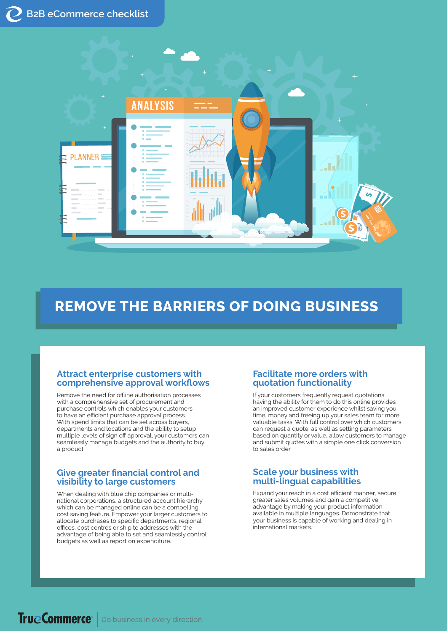

# **REMOVE THE BARRIERS OF DOING BUSINESS**

#### **Attract enterprise customers with comprehensive approval workflows**

Remove the need for offline authorisation processes with a comprehensive set of procurement and purchase controls which enables your customers to have an efficient purchase approval process. With spend limits that can be set across buyers, departments and locations and the ability to setup multiple levels of sign off approval, your customers can seamlessly manage budgets and the authority to buy a product.

#### **Give greater financial control and visibility to large customers**

When dealing with blue chip companies or multinational corporations, a structured account hierarchy which can be managed online can be a compelling cost saving feature. Empower your larger customers to allocate purchases to specific departments, regional offices, cost centres or ship to addresses with the advantage of being able to set and seamlessly control budgets as well as report on expenditure.

#### **Facilitate more orders with quotation functionality**

If your customers frequently request quotations having the ability for them to do this online provides an improved customer experience whilst saving you time, money and freeing up your sales team for more valuable tasks. With full control over which customers can request a quote, as well as setting parameters based on quantity or value, allow customers to manage and submit quotes with a simple one click conversion to sales order.

## **Scale your business with multi-lingual capabilities**

Expand your reach in a cost efficient manner, secure greater sales volumes and gain a competitive advantage by making your product information available in multiple languages. Demonstrate that your business is capable of working and dealing in international markets.